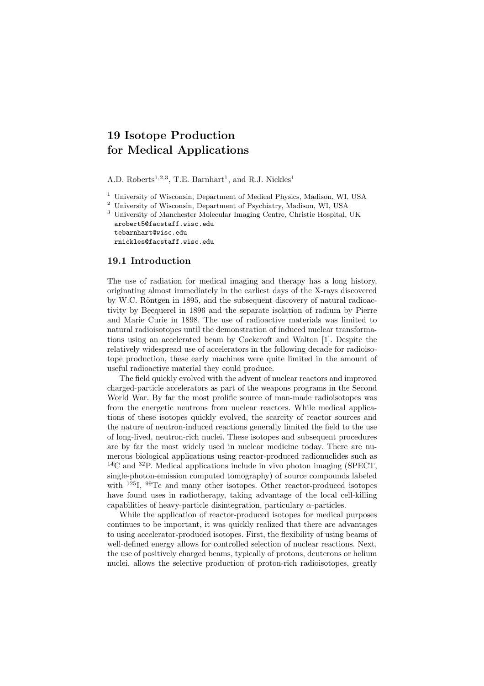# **19 Isotope Production for Medical Applications**

A.D. Roberts<sup>1,2,3</sup>, T.E. Barnhart<sup>1</sup>, and R.J. Nickles<sup>1</sup>

<sup>1</sup> University of Wisconsin, Department of Medical Physics, Madison, WI, USA

<sup>2</sup> University of Wisconsin, Department of Psychiatry, Madison, WI, USA

<sup>3</sup> University of Manchester Molecular Imaging Centre, Christie Hospital, UK arobert5@facstaff.wisc.edu tebarnhart@wisc.edu rnickles@facstaff.wisc.edu

# **19.1 Introduction**

The use of radiation for medical imaging and therapy has a long history, originating almost immediately in the earliest days of the X-rays discovered by W.C. Röntgen in 1895, and the subsequent discovery of natural radioactivity by Becquerel in 1896 and the separate isolation of radium by Pierre and Marie Curie in 1898. The use of radioactive materials was limited to natural radioisotopes until the demonstration of induced nuclear transformations using an accelerated beam by Cockcroft and Walton [1]. Despite the relatively widespread use of accelerators in the following decade for radioisotope production, these early machines were quite limited in the amount of useful radioactive material they could produce.

The field quickly evolved with the advent of nuclear reactors and improved charged-particle accelerators as part of the weapons programs in the Second World War. By far the most prolific source of man-made radioisotopes was from the energetic neutrons from nuclear reactors. While medical applications of these isotopes quickly evolved, the scarcity of reactor sources and the nature of neutron-induced reactions generally limited the field to the use of long-lived, neutron-rich nuclei. These isotopes and subsequent procedures are by far the most widely used in nuclear medicine today. There are numerous biological applications using reactor-produced radionuclides such as  $^{14}$ C and  $^{32}$ P. Medical applications include in vivo photon imaging (SPECT, single-photon-emission computed tomography) of source compounds labeled with  $125$ I,  $99$ Tc and many other isotopes. Other reactor-produced isotopes have found uses in radiotherapy, taking advantage of the local cell-killing capabilities of heavy-particle disintegration, particulary  $\alpha$ -particles.

While the application of reactor-produced isotopes for medical purposes continues to be important, it was quickly realized that there are advantages to using accelerator-produced isotopes. First, the flexibility of using beams of well-defined energy allows for controlled selection of nuclear reactions. Next, the use of positively charged beams, typically of protons, deuterons or helium nuclei, allows the selective production of proton-rich radioisotopes, greatly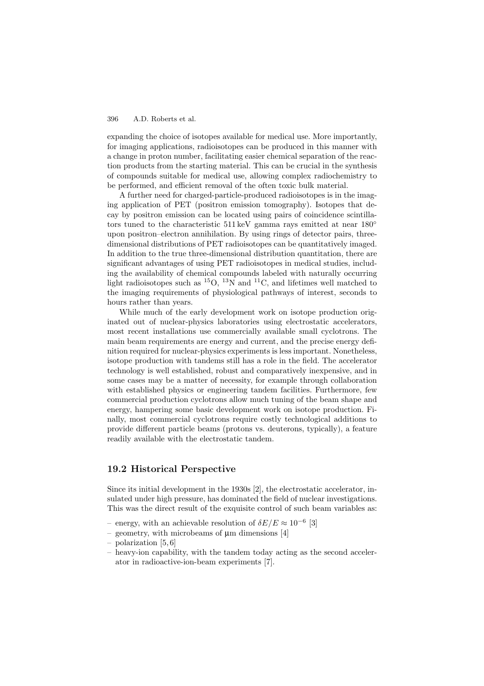expanding the choice of isotopes available for medical use. More importantly, for imaging applications, radioisotopes can be produced in this manner with a change in proton number, facilitating easier chemical separation of the reaction products from the starting material. This can be crucial in the synthesis of compounds suitable for medical use, allowing complex radiochemistry to be performed, and efficient removal of the often toxic bulk material.

A further need for charged-particle-produced radioisotopes is in the imaging application of PET (positron emission tomography). Isotopes that decay by positron emission can be located using pairs of coincidence scintillators tuned to the characteristic 511 keV gamma rays emitted at near 180◦ upon positron–electron annihilation. By using rings of detector pairs, threedimensional distributions of PET radioisotopes can be quantitatively imaged. In addition to the true three-dimensional distribution quantitation, there are significant advantages of using PET radioisotopes in medical studies, including the availability of chemical compounds labeled with naturally occurring light radioisotopes such as <sup>15</sup>O, <sup>13</sup>N and <sup>11</sup>C, and lifetimes well matched to the imaging requirements of physiological pathways of interest, seconds to hours rather than years.

While much of the early development work on isotope production originated out of nuclear-physics laboratories using electrostatic accelerators, most recent installations use commercially available small cyclotrons. The main beam requirements are energy and current, and the precise energy definition required for nuclear-physics experiments is less important. Nonetheless, isotope production with tandems still has a role in the field. The accelerator technology is well established, robust and comparatively inexpensive, and in some cases may be a matter of necessity, for example through collaboration with established physics or engineering tandem facilities. Furthermore, few commercial production cyclotrons allow much tuning of the beam shape and energy, hampering some basic development work on isotope production. Finally, most commercial cyclotrons require costly technological additions to provide different particle beams (protons vs. deuterons, typically), a feature readily available with the electrostatic tandem.

# **19.2 Historical Perspective**

Since its initial development in the 1930s [2], the electrostatic accelerator, insulated under high pressure, has dominated the field of nuclear investigations. This was the direct result of the exquisite control of such beam variables as:

- energy, with an achievable resolution of  $δE/E ≈ 10<sup>−6</sup>$  [3]
- geometry, with microbeams of  $\mu$ m dimensions [4]
- polarization [5, 6]
- heavy-ion capability, with the tandem today acting as the second accelerator in radioactive-ion-beam experiments [7].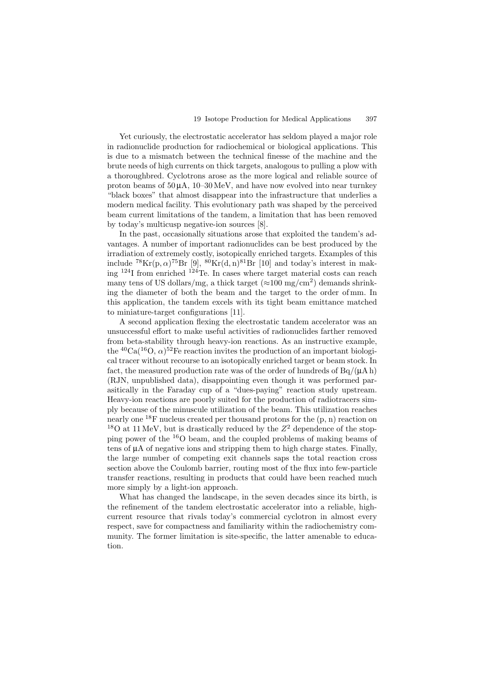Yet curiously, the electrostatic accelerator has seldom played a major role in radionuclide production for radiochemical or biological applications. This is due to a mismatch between the technical finesse of the machine and the brute needs of high currents on thick targets, analogous to pulling a plow with a thoroughbred. Cyclotrons arose as the more logical and reliable source of proton beams of  $50 \mu A$ , 10–30 MeV, and have now evolved into near turnkey "black boxes" that almost disappear into the infrastructure that underlies a modern medical facility. This evolutionary path was shaped by the perceived beam current limitations of the tandem, a limitation that has been removed by today's multicusp negative-ion sources [8].

In the past, occasionally situations arose that exploited the tandem's advantages. A number of important radionuclides can be best produced by the irradiation of extremely costly, isotopically enriched targets. Examples of this include  ${}^{78}\text{Kr}(p,\alpha){}^{75}\text{Br}$  [9],  ${}^{80}\text{Kr}(d,n){}^{81}\text{Br}$  [10] and today's interest in making  $124$ I from enriched  $124$ Te. In cases where target material costs can reach many tens of US dollars/mg, a thick target  $(\approx 100 \text{ mg/cm}^2)$  demands shrinking the diameter of both the beam and the target to the order of mm. In this application, the tandem excels with its tight beam emittance matched to miniature-target configurations [11].

A second application flexing the electrostatic tandem accelerator was an unsuccessful effort to make useful activities of radionuclides farther removed from beta-stability through heavy-ion reactions. As an instructive example, the <sup>40</sup>Ca(<sup>16</sup>O,  $\alpha$ )<sup>52</sup>Fe reaction invites the production of an important biological tracer without recourse to an isotopically enriched target or beam stock. In fact, the measured production rate was of the order of hundreds of  $Bq/(\mu A h)$ (RJN, unpublished data), disappointing even though it was performed parasitically in the Faraday cup of a "dues-paying" reaction study upstream. Heavy-ion reactions are poorly suited for the production of radiotracers simply because of the minuscule utilization of the beam. This utilization reaches nearly one  $^{18}$ F nucleus created per thousand protons for the  $(p, n)$  reaction on <sup>18</sup>O at 11 MeV, but is drastically reduced by the  $Z^2$  dependence of the stopping power of the <sup>16</sup>O beam, and the coupled problems of making beams of tens of  $\mu A$  of negative ions and stripping them to high charge states. Finally, the large number of competing exit channels saps the total reaction cross section above the Coulomb barrier, routing most of the flux into few-particle transfer reactions, resulting in products that could have been reached much more simply by a light-ion approach.

What has changed the landscape, in the seven decades since its birth, is the refinement of the tandem electrostatic accelerator into a reliable, highcurrent resource that rivals today's commercial cyclotron in almost every respect, save for compactness and familiarity within the radiochemistry community. The former limitation is site-specific, the latter amenable to education.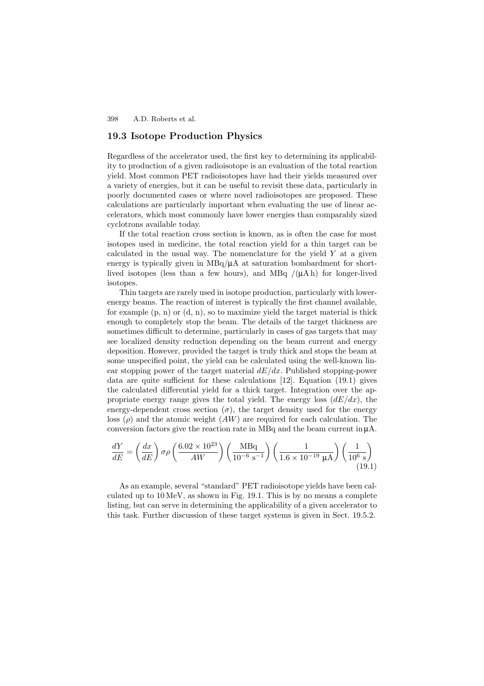# **19.3 Isotope Production Physics**

Regardless of the accelerator used, the first key to determining its applicability to production of a given radioisotope is an evaluation of the total reaction yield. Most common PET radioisotopes have had their yields measured over a variety of energies, but it can be useful to revisit these data, particularly in poorly documented cases or where novel radioisotopes are proposed. These calculations are particularly important when evaluating the use of linear accelerators, which most commonly have lower energies than comparably sized cyclotrons available today.

If the total reaction cross section is known, as is often the case for most isotopes used in medicine, the total reaction yield for a thin target can be calculated in the usual way. The nomenclature for the yield  $Y$  at a given energy is typically given in  $MBq/\mu A$  at saturation bombardment for shortlived isotopes (less than a few hours), and MBq  $/(\mu A h)$  for longer-lived isotopes.

Thin targets are rarely used in isotope production, particularly with lowerenergy beams. The reaction of interest is typically the first channel available, for example  $(p, n)$  or  $(d, n)$ , so to maximize yield the target material is thick enough to completely stop the beam. The details of the target thickness are sometimes difficult to determine, particularly in cases of gas targets that may see localized density reduction depending on the beam current and energy deposition. However, provided the target is truly thick and stops the beam at some unspecified point, the yield can be calculated using the well-known linear stopping power of the target material  $dE/dx$ . Published stopping-power data are quite sufficient for these calculations [12]. Equation (19.1) gives the calculated differential yield for a thick target. Integration over the appropriate energy range gives the total yield. The energy loss  $(dE/dx)$ , the energy-dependent cross section  $(\sigma)$ , the target density used for the energy loss  $(\rho)$  and the atomic weight  $(AW)$  are required for each calculation. The conversion factors give the reaction rate in MBq and the beam current in  $\mu$ A.

$$
\frac{dY}{dE} = \left(\frac{dx}{dE}\right)\sigma\rho \left(\frac{6.02 \times 10^{23}}{AW}\right) \left(\frac{\text{MBq}}{10^{-6} \text{ s}^{-1}}\right) \left(\frac{1}{1.6 \times 10^{-19} \text{ }\mu\text{A}}\right) \left(\frac{1}{10^6 \text{ s}}\right) \tag{19.1}
$$

As an example, several "standard" PET radioisotope yields have been calculated up to 10 MeV, as shown in Fig. 19.1. This is by no means a complete listing, but can serve in determining the applicability of a given accelerator to this task. Further discussion of these target systems is given in Sect. 19.5.2.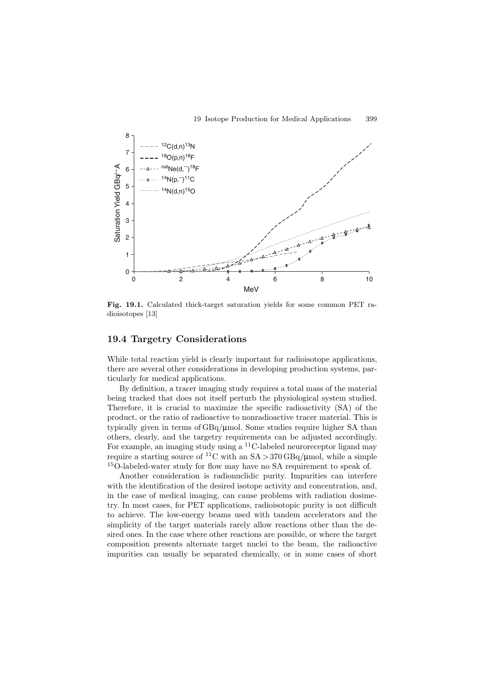

**Fig. 19.1.** Calculated thick-target saturation yields for some common PET radioisotopes [13]

# **19.4 Targetry Considerations**

While total reaction yield is clearly important for radioisotope applications, there are several other considerations in developing production systems, particularly for medical applications.

By definition, a tracer imaging study requires a total mass of the material being tracked that does not itself perturb the physiological system studied. Therefore, it is crucial to maximize the specific radioactivity (SA) of the product, or the ratio of radioactive to nonradioactive tracer material. This is typically given in terms of GBq/µmol. Some studies require higher SA than others, clearly, and the targetry requirements can be adjusted accordingly. For example, an imaging study using a <sup>11</sup>C-labeled neuroreceptor ligand may require a starting source of <sup>11</sup>C with an  $SA > 370 \text{ GBq/µmol}$ , while a simple <sup>15</sup>O-labeled-water study for flow may have no SA requirement to speak of.

Another consideration is radionuclidic purity. Impurities can interfere with the identification of the desired isotope activity and concentration, and, in the case of medical imaging, can cause problems with radiation dosimetry. In most cases, for PET applications, radioisotopic purity is not difficult to achieve. The low-energy beams used with tandem accelerators and the simplicity of the target materials rarely allow reactions other than the desired ones. In the case where other reactions are possible, or where the target composition presents alternate target nuclei to the beam, the radioactive impurities can usually be separated chemically, or in some cases of short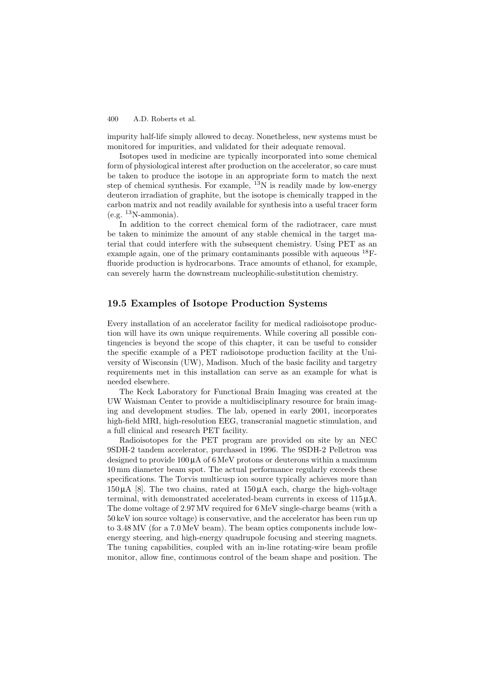impurity half-life simply allowed to decay. Nonetheless, new systems must be monitored for impurities, and validated for their adequate removal.

Isotopes used in medicine are typically incorporated into some chemical form of physiological interest after production on the accelerator, so care must be taken to produce the isotope in an appropriate form to match the next step of chemical synthesis. For example,  $^{13}N$  is readily made by low-energy deuteron irradiation of graphite, but the isotope is chemically trapped in the carbon matrix and not readily available for synthesis into a useful tracer form  $(e.g. <sup>13</sup>N-ammonia).$ 

In addition to the correct chemical form of the radiotracer, care must be taken to minimize the amount of any stable chemical in the target material that could interfere with the subsequent chemistry. Using PET as an example again, one of the primary contaminants possible with aqueous <sup>18</sup>Ffluoride production is hydrocarbons. Trace amounts of ethanol, for example, can severely harm the downstream nucleophilic-substitution chemistry.

# **19.5 Examples of Isotope Production Systems**

Every installation of an accelerator facility for medical radioisotope production will have its own unique requirements. While covering all possible contingencies is beyond the scope of this chapter, it can be useful to consider the specific example of a PET radioisotope production facility at the University of Wisconsin (UW), Madison. Much of the basic facility and targetry requirements met in this installation can serve as an example for what is needed elsewhere.

The Keck Laboratory for Functional Brain Imaging was created at the UW Waisman Center to provide a multidisciplinary resource for brain imaging and development studies. The lab, opened in early 2001, incorporates high-field MRI, high-resolution EEG, transcranial magnetic stimulation, and a full clinical and research PET facility.

Radioisotopes for the PET program are provided on site by an NEC 9SDH-2 tandem accelerator, purchased in 1996. The 9SDH-2 Pelletron was designed to provide  $100 \mu A$  of 6 MeV protons or deuterons within a maximum 10 mm diameter beam spot. The actual performance regularly exceeds these specifications. The Torvis multicusp ion source typically achieves more than 150  $\mu$ A [8]. The two chains, rated at 150  $\mu$ A each, charge the high-voltage terminal, with demonstrated accelerated-beam currents in excess of 115 µA. The dome voltage of 2.97 MV required for 6 MeV single-charge beams (with a 50 keV ion source voltage) is conservative, and the accelerator has been run up to 3.48 MV (for a 7.0 MeV beam). The beam optics components include lowenergy steering, and high-energy quadrupole focusing and steering magnets. The tuning capabilities, coupled with an in-line rotating-wire beam profile monitor, allow fine, continuous control of the beam shape and position. The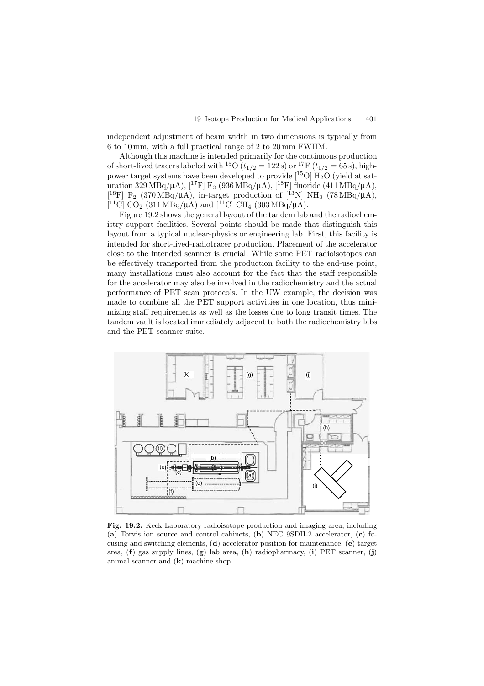independent adjustment of beam width in two dimensions is typically from 6 to 10 mm, with a full practical range of 2 to 20 mm FWHM.

Although this machine is intended primarily for the continuous production of short-lived tracers labeled with <sup>15</sup>O ( $t_{1/2} = 122$  s) or <sup>17</sup>F ( $t_{1/2} = 65$  s), highpower target systems have been developed to provide  $[{}^{15}O]$   $H_2O$  (yield at saturation 329 MBq/ $\mu$ A), [<sup>17</sup>F] F<sub>2</sub> (936 MBq/ $\mu$ A), [<sup>18</sup>F] fluoride (411 MBq/ $\mu$ A), [<sup>18</sup>F] F<sub>2</sub> (370 MBq/ $\mu$ A), in-target production of [<sup>13</sup>N] NH<sub>3</sub> (78 MBq/ $\mu$ A), [<sup>11</sup>C] CO<sub>2</sub> (311 MBq/ $\mu$ A) and [<sup>11</sup>C] CH<sub>4</sub> (303 MBq/ $\mu$ A).

Figure 19.2 shows the general layout of the tandem lab and the radiochemistry support facilities. Several points should be made that distinguish this layout from a typical nuclear-physics or engineering lab. First, this facility is intended for short-lived-radiotracer production. Placement of the accelerator close to the intended scanner is crucial. While some PET radioisotopes can be effectively transported from the production facility to the end-use point, many installations must also account for the fact that the staff responsible for the accelerator may also be involved in the radiochemistry and the actual performance of PET scan protocols. In the UW example, the decision was made to combine all the PET support activities in one location, thus minimizing staff requirements as well as the losses due to long transit times. The tandem vault is located immediately adjacent to both the radiochemistry labs and the PET scanner suite.



**Fig. 19.2.** Keck Laboratory radioisotope production and imaging area, including (**a**) Torvis ion source and control cabinets, (**b**) NEC 9SDH-2 accelerator, (**c**) focusing and switching elements, (**d**) accelerator position for maintenance, (**e**) target area, (**f** ) gas supply lines, (**g**) lab area, (**h**) radiopharmacy, (**i**) PET scanner, (**j**) animal scanner and (**k**) machine shop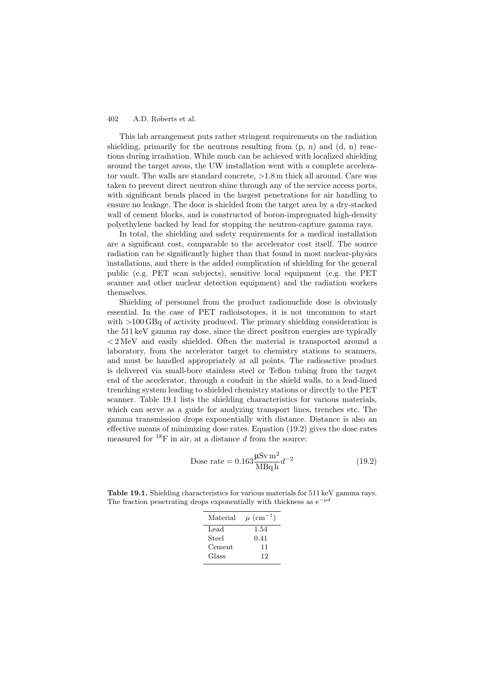#### 402 A.D. Roberts et al.

This lab arrangement puts rather stringent requirements on the radiation shielding, primarily for the neutrons resulting from  $(p, n)$  and  $(d, n)$  reactions during irradiation. While much can be achieved with localized shielding around the target areas, the UW installation went with a complete accelerator vault. The walls are standard concrete, >1.8 m thick all around. Care was taken to prevent direct neutron shine through any of the service access ports, with significant bends placed in the largest penetrations for air handling to ensure no leakage. The door is shielded from the target area by a dry-stacked wall of cement blocks, and is constructed of boron-impregnated high-density polyethylene backed by lead for stopping the neutron-capture gamma rays.

In total, the shielding and safety requirements for a medical installation are a significant cost, comparable to the accelerator cost itself. The source radiation can be significantly higher than that found in most nuclear-physics installations, and there is the added complication of shielding for the general public (e.g. PET scan subjects), sensitive local equipment (e.g. the PET scanner and other nuclear detection equipment) and the radiation workers themselves.

Shielding of personnel from the product radionuclide dose is obviously essential. In the case of PET radioisotopes, it is not uncommon to start with  $>100$  GBq of activity produced. The primary shielding consideration is the 511 keV gamma ray dose, since the direct positron energies are typically < 2 MeV and easily shielded. Often the material is transported around a laboratory, from the accelerator target to chemistry stations to scanners, and must be handled appropriately at all points. The radioactive product is delivered via small-bore stainless steel or Teflon tubing from the target end of the accelerator, through a conduit in the shield walls, to a lead-lined trenching system leading to shielded chemistry stations or directly to the PET scanner. Table 19.1 lists the shielding characteristics for various materials, which can serve as a guide for analyzing transport lines, trenches etc. The gamma transmission drops exponentially with distance. Distance is also an effective means of minimizing dose rates. Equation (19.2) gives the dose rates measured for  $^{18}$ F in air, at a distance d from the source:

Dose rate = 
$$
0.163 \frac{\mu Sv m^2}{MBq h} d^{-2}
$$
 (19.2)

**Table 19.1.** Shielding characteristics for various materials for 511 keV gamma rays. The fraction penetrating drops exponentially with thickness as  $e^{-\mu d}$ 

| Material | $\mu$ (cm <sup>-1</sup> ) |
|----------|---------------------------|
| Lead     | 1.54                      |
| Steel    | 0.41                      |
| Cement   | 11                        |
| Glass    | 12                        |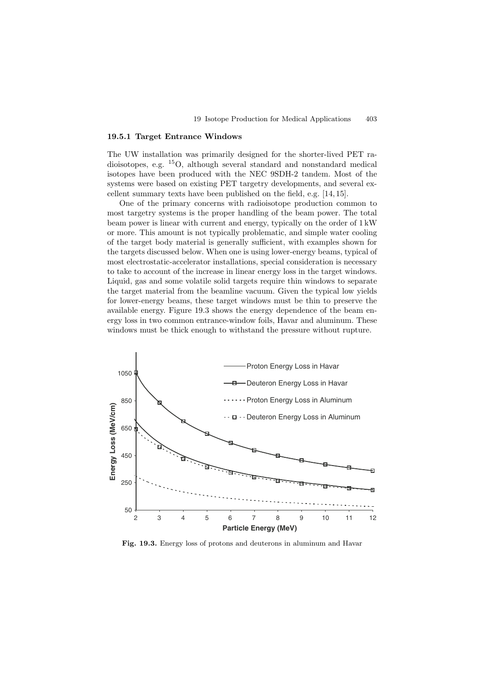#### **19.5.1 Target Entrance Windows**

The UW installation was primarily designed for the shorter-lived PET radioisotopes, e.g. <sup>15</sup>O, although several standard and nonstandard medical isotopes have been produced with the NEC 9SDH-2 tandem. Most of the systems were based on existing PET targetry developments, and several excellent summary texts have been published on the field, e.g. [14, 15].

One of the primary concerns with radioisotope production common to most targetry systems is the proper handling of the beam power. The total beam power is linear with current and energy, typically on the order of 1 kW or more. This amount is not typically problematic, and simple water cooling of the target body material is generally sufficient, with examples shown for the targets discussed below. When one is using lower-energy beams, typical of most electrostatic-accelerator installations, special consideration is necessary to take to account of the increase in linear energy loss in the target windows. Liquid, gas and some volatile solid targets require thin windows to separate the target material from the beamline vacuum. Given the typical low yields for lower-energy beams, these target windows must be thin to preserve the available energy. Figure 19.3 shows the energy dependence of the beam energy loss in two common entrance-window foils, Havar and aluminum. These windows must be thick enough to withstand the pressure without rupture.



**Fig. 19.3.** Energy loss of protons and deuterons in aluminum and Havar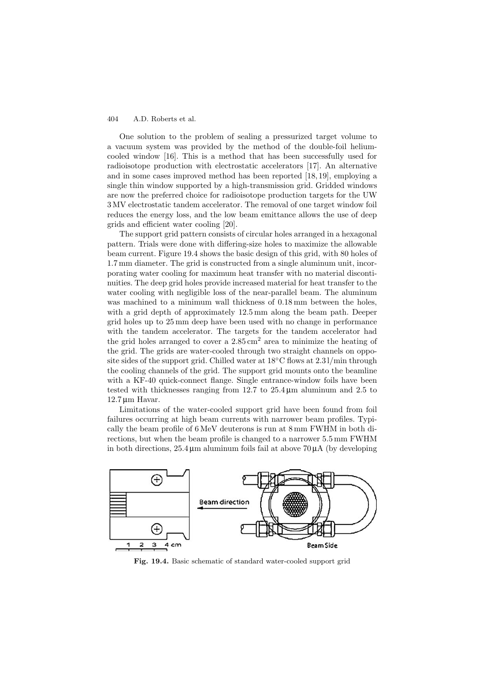#### 404 A.D. Roberts et al.

One solution to the problem of sealing a pressurized target volume to a vacuum system was provided by the method of the double-foil heliumcooled window [16]. This is a method that has been successfully used for radioisotope production with electrostatic accelerators [17]. An alternative and in some cases improved method has been reported [18, 19], employing a single thin window supported by a high-transmission grid. Gridded windows are now the preferred choice for radioisotope production targets for the UW 3 MV electrostatic tandem accelerator. The removal of one target window foil reduces the energy loss, and the low beam emittance allows the use of deep grids and efficient water cooling [20].

The support grid pattern consists of circular holes arranged in a hexagonal pattern. Trials were done with differing-size holes to maximize the allowable beam current. Figure 19.4 shows the basic design of this grid, with 80 holes of 1.7 mm diameter. The grid is constructed from a single aluminum unit, incorporating water cooling for maximum heat transfer with no material discontinuities. The deep grid holes provide increased material for heat transfer to the water cooling with negligible loss of the near-parallel beam. The aluminum was machined to a minimum wall thickness of 0.18 mm between the holes, with a grid depth of approximately  $12.5 \,\mathrm{mm}$  along the beam path. Deeper grid holes up to 25 mm deep have been used with no change in performance with the tandem accelerator. The targets for the tandem accelerator had the grid holes arranged to cover a  $2.85 \text{ cm}^2$  area to minimize the heating of the grid. The grids are water-cooled through two straight channels on opposite sides of the support grid. Chilled water at  $18°C$  flows at  $2.31/min$  through the cooling channels of the grid. The support grid mounts onto the beamline with a KF-40 quick-connect flange. Single entrance-window foils have been tested with thicknesses ranging from  $12.7$  to  $25.4 \,\mu$ m aluminum and  $2.5$  to  $12.7 \,\mathrm{\upmu m}$  Havar.

Limitations of the water-cooled support grid have been found from foil failures occurring at high beam currents with narrower beam profiles. Typically the beam profile of 6 MeV deuterons is run at 8 mm FWHM in both directions, but when the beam profile is changed to a narrower 5.5 mm FWHM in both directions,  $25.4 \,\mathrm{\mu m}$  aluminum foils fail at above  $70 \,\mathrm{\mu A}$  (by developing



**Fig. 19.4.** Basic schematic of standard water-cooled support grid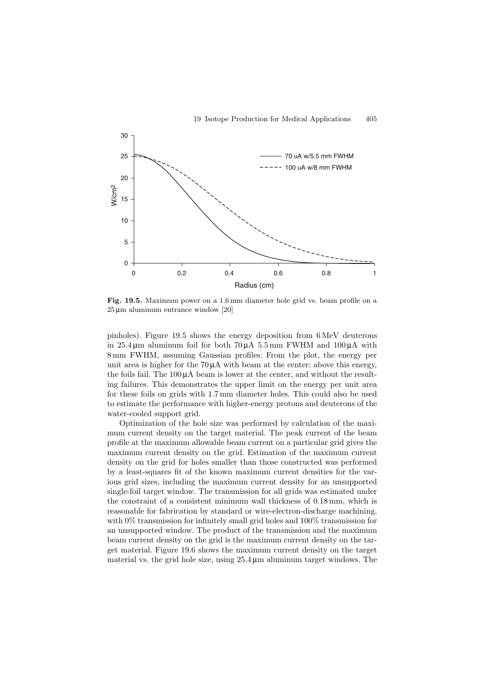

**Fig. 19.5.** Maximum power on a 1.6 mm diameter hole grid vs. beam profile on a  $25 \,\mu m$  aluminum entrance window [20]

pinholes). Figure 19.5 shows the energy deposition from 6 MeV deuterons in 25.4  $\mu$ m aluminum foil for both 70  $\mu$ A 5.5 mm FWHM and 100  $\mu$ A with 8 mm FWHM, assuming Gaussian profiles. From the plot, the energy per unit area is higher for the  $70 \mu A$  with beam at the center; above this energy, the foils fail. The  $100 \mu A$  beam is lower at the center, and without the resulting failures. This demonstrates the upper limit on the energy per unit area for these foils on grids with 1.7 mm diameter holes. This could also be used to estimate the performance with higher-energy protons and deuterons of the water-cooled support grid.

Optimization of the hole size was performed by calculation of the maximum current density on the target material. The peak current of the beam profile at the maximum allowable beam current on a particular grid gives the maximum current density on the grid. Estimation of the maximum current density on the grid for holes smaller than those constructed was performed by a least-squares fit of the known maximum current densities for the various grid sizes, including the maximum current density for an unsupported single-foil target window. The transmission for all grids was estimated under the constraint of a consistent minimum wall thickness of 0.18 mm, which is reasonable for fabrication by standard or wire-electron-discharge machining, with 0% transmission for infinitely small grid holes and 100% transmission for an unsupported window. The product of the transmission and the maximum beam current density on the grid is the maximum current density on the target material. Figure 19.6 shows the maximum current density on the target material vs. the grid hole size, using 25.4 µm aluminum target windows. The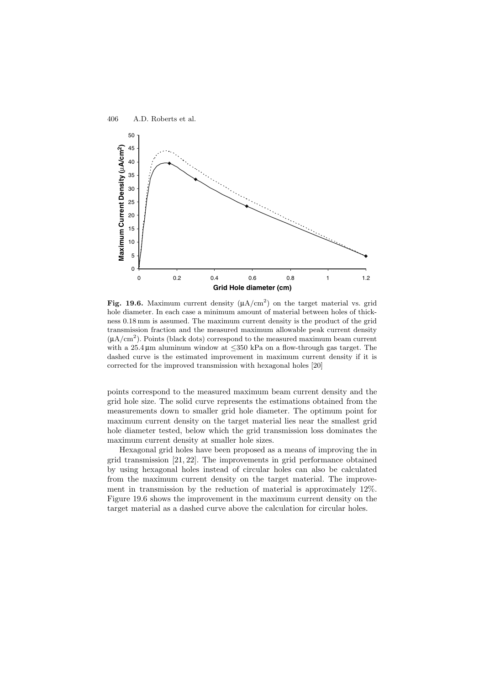

**Fig. 19.6.** Maximum current density  $(\mu A/cm^2)$  on the target material vs. grid hole diameter. In each case a minimum amount of material between holes of thickness 0.18 mm is assumed. The maximum current density is the product of the grid transmission fraction and the measured maximum allowable peak current density  $(\mu A/cm^2)$ . Points (black dots) correspond to the measured maximum beam current with a 25.4  $\mu$ m aluminum window at  $\leq$ 350 kPa on a flow-through gas target. The dashed curve is the estimated improvement in maximum current density if it is corrected for the improved transmission with hexagonal holes [20]

points correspond to the measured maximum beam current density and the grid hole size. The solid curve represents the estimations obtained from the measurements down to smaller grid hole diameter. The optimum point for maximum current density on the target material lies near the smallest grid hole diameter tested, below which the grid transmission loss dominates the maximum current density at smaller hole sizes.

Hexagonal grid holes have been proposed as a means of improving the in grid transmission [21, 22]. The improvements in grid performance obtained by using hexagonal holes instead of circular holes can also be calculated from the maximum current density on the target material. The improvement in transmission by the reduction of material is approximately 12%. Figure 19.6 shows the improvement in the maximum current density on the target material as a dashed curve above the calculation for circular holes.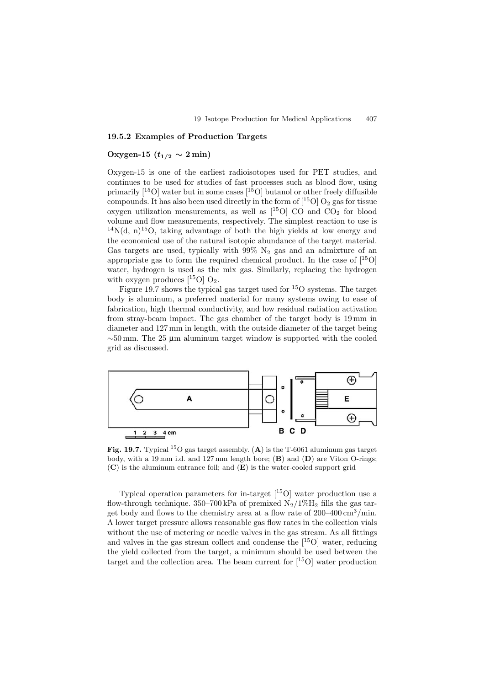#### **19.5.2 Examples of Production Targets**

#### **Oxygen-15 (***t***1***/***<sup>2</sup>** *∼* **2 min)**

Oxygen-15 is one of the earliest radioisotopes used for PET studies, and continues to be used for studies of fast processes such as blood flow, using primarily  $[15O]$  water but in some cases  $[15O]$  butanol or other freely diffusible compounds. It has also been used directly in the form of  $[{}^{15}O]$  O<sub>2</sub> gas for tissue oxygen utilization measurements, as well as  $[15O]$  CO and  $CO<sub>2</sub>$  for blood volume and flow measurements, respectively. The simplest reaction to use is  $14N(d, n)^{15}$ O, taking advantage of both the high yields at low energy and the economical use of the natural isotopic abundance of the target material. Gas targets are used, typically with  $99\%$  N<sub>2</sub> gas and an admixture of an appropriate gas to form the required chemical product. In the case of  $[{}^{15}O]$ water, hydrogen is used as the mix gas. Similarly, replacing the hydrogen with oxygen produces  $[{}^{15}O]$  O<sub>2</sub>.

Figure 19.7 shows the typical gas target used for  $15$ O systems. The target body is aluminum, a preferred material for many systems owing to ease of fabrication, high thermal conductivity, and low residual radiation activation from stray-beam impact. The gas chamber of the target body is 19 mm in diameter and 127 mm in length, with the outside diameter of the target being  $\sim 50 \,\mathrm{mm}$ . The 25 µm aluminum target window is supported with the cooled grid as discussed.



**Fig. 19.7.** Typical <sup>15</sup>O gas target assembly. (A) is the T-6061 aluminum gas target body, with a 19 mm i.d. and 127 mm length bore; (**B**) and (**D**) are Viton O-rings; (**C**) is the aluminum entrance foil; and (**E**) is the water-cooled support grid

Typical operation parameters for in-target [<sup>15</sup>O] water production use a flow-through technique. 350–700 kPa of premixed  $N_2/1\%$ H<sub>2</sub> fills the gas target body and flows to the chemistry area at a flow rate of  $200-400 \text{ cm}^3/\text{min}$ . A lower target pressure allows reasonable gas flow rates in the collection vials without the use of metering or needle valves in the gas stream. As all fittings and valves in the gas stream collect and condense the  $[15O]$  water, reducing the yield collected from the target, a minimum should be used between the target and the collection area. The beam current for  $[15O]$  water production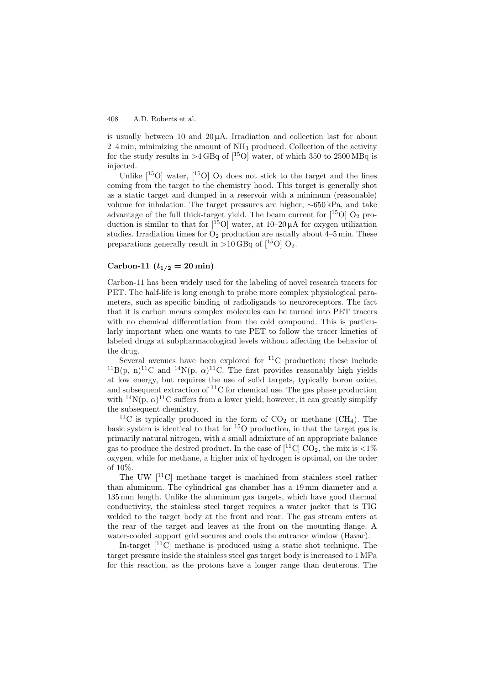is usually between 10 and  $20 \mu A$ . Irradiation and collection last for about  $2-4$  min, minimizing the amount of  $NH<sub>3</sub>$  produced. Collection of the activity for the study results in  $>4$  GBq of [<sup>15</sup>O] water, of which 350 to 2500 MBq is injected.

Unlike  $[150]$  water,  $[150]$  O<sub>2</sub> does not stick to the target and the lines coming from the target to the chemistry hood. This target is generally shot as a static target and dumped in a reservoir with a minimum (reasonable) volume for inhalation. The target pressures are higher, ∼650 kPa, and take advantage of the full thick-target yield. The beam current for  $[{}^{15}O]$  O<sub>2</sub> production is similar to that for  $\left[{}^{15}O\right]$  water, at  $10-20 \mu A$  for oxygen utilization studies. Irradiation times for  $O_2$  production are usually about 4–5 min. These preparations generally result in  $>10$  GBq of [<sup>15</sup>O] O<sub>2</sub>.

# $\text{Carbon-11}$   $(t_{1/2} = 20 \text{ min})$

Carbon-11 has been widely used for the labeling of novel research tracers for PET. The half-life is long enough to probe more complex physiological parameters, such as specific binding of radioligands to neuroreceptors. The fact that it is carbon means complex molecules can be turned into PET tracers with no chemical differentiation from the cold compound. This is particularly important when one wants to use PET to follow the tracer kinetics of labeled drugs at subpharmacological levels without affecting the behavior of the drug.

Several avenues have been explored for  ${}^{11}$ C production; these include <sup>11</sup>B(p, n)<sup>11</sup>C and <sup>14</sup>N(p,  $\alpha$ )<sup>11</sup>C. The first provides reasonably high yields at low energy, but requires the use of solid targets, typically boron oxide, and subsequent extraction of  ${}^{11}C$  for chemical use. The gas phase production with <sup>14</sup>N(p,  $\alpha$ )<sup>11</sup>C suffers from a lower yield; however, it can greatly simplify the subsequent chemistry.

<sup>11</sup>C is typically produced in the form of  $CO<sub>2</sub>$  or methane (CH<sub>4</sub>). The basic system is identical to that for  $^{15}$ O production, in that the target gas is primarily natural nitrogen, with a small admixture of an appropriate balance gas to produce the desired product. In the case of  $[{}^{11}C|CQ_2$ , the mix is  $\langle 1\%$ oxygen, while for methane, a higher mix of hydrogen is optimal, on the order of 10%.

The UW  $[$ <sup>11</sup>C $]$  methane target is machined from stainless steel rather than aluminum. The cylindrical gas chamber has a 19 mm diameter and a 135 mm length. Unlike the aluminum gas targets, which have good thermal conductivity, the stainless steel target requires a water jacket that is TIG welded to the target body at the front and rear. The gas stream enters at the rear of the target and leaves at the front on the mounting flange. A water-cooled support grid secures and cools the entrance window (Havar).

In-target  $[$ <sup>11</sup>C $]$  methane is produced using a static shot technique. The target pressure inside the stainless steel gas target body is increased to 1 MPa for this reaction, as the protons have a longer range than deuterons. The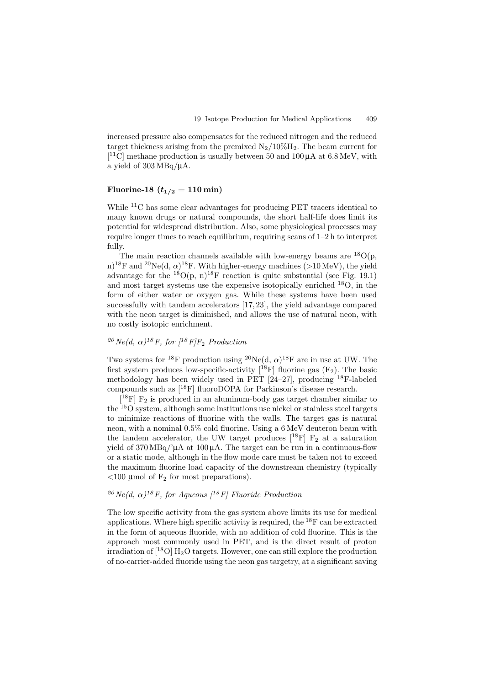increased pressure also compensates for the reduced nitrogen and the reduced target thickness arising from the premixed  $N_2/10\%$ H<sub>2</sub>. The beam current for [<sup>11</sup>C] methane production is usually between 50 and  $100 \mu A$  at 6.8 MeV, with a yield of 303 MBq/µA.

# **Fluorine-18**  $(t_{1/2} = 110 \text{ min})$

While  $^{11}$ C has some clear advantages for producing PET tracers identical to many known drugs or natural compounds, the short half-life does limit its potential for widespread distribution. Also, some physiological processes may require longer times to reach equilibrium, requiring scans of 1–2 h to interpret fully.

The main reaction channels available with low-energy beams are  $^{18}O(p,$ n)<sup>18</sup>F and <sup>20</sup>Ne(d,  $\alpha$ )<sup>18</sup>F. With higher-energy machines (>10 MeV), the yield advantage for the <sup>18</sup>O(p, n)<sup>18</sup>F reaction is quite substantial (see Fig. 19.1) and most target systems use the expensive isotopically enriched  $^{18}O$ , in the form of either water or oxygen gas. While these systems have been used successfully with tandem accelerators [17, 23], the yield advantage compared with the neon target is diminished, and allows the use of natural neon, with no costly isotopic enrichment.

<sup>20</sup> Ne(d,  $\alpha$ )<sup>18</sup> F, for [<sup>18</sup> F]F<sub>2</sub> Production

Two systems for <sup>18</sup>F production using <sup>20</sup>Ne(d,  $\alpha$ )<sup>18</sup>F are in use at UW. The first system produces low-specific-activity  $[$ <sup>18</sup>F $]$  fluorine gas  $(F_2)$ . The basic methodology has been widely used in PET  $[24-27]$ , producing <sup>18</sup>F-labeled compounds such as  $[$ <sup>18</sup>F $]$  fluoroDOPA for Parkinson's disease research.

 $[$ 18\mathrm{F}] F<sub>2</sub> is produced in an aluminum-body gas target chamber similar to the <sup>15</sup>O system, although some institutions use nickel or stainless steel targets to minimize reactions of fluorine with the walls. The target gas is natural neon, with a nominal 0.5% cold fluorine. Using a 6 MeV deuteron beam with the tandem accelerator, the UW target produces  $[{}^{18}F]$  F<sub>2</sub> at a saturation yield of  $370 \text{ MBq}/\mu\text{A}$  at  $100 \mu\text{A}$ . The target can be run in a continuous-flow or a static mode, although in the flow mode care must be taken not to exceed the maximum fluorine load capacity of the downstream chemistry (typically  $<$ 100 µmol of F<sub>2</sub> for most preparations).

## <sup>20</sup> Ne(d,  $\alpha$ )<sup>18</sup> F, for Aqueous [<sup>18</sup> F] Fluoride Production

The low specific activity from the gas system above limits its use for medical applications. Where high specific activity is required, the <sup>18</sup>F can be extracted in the form of aqueous fluoride, with no addition of cold fluorine. This is the approach most commonly used in PET, and is the direct result of proton irradiation of  $[18O]$  H<sub>2</sub>O targets. However, one can still explore the production of no-carrier-added fluoride using the neon gas targetry, at a significant saving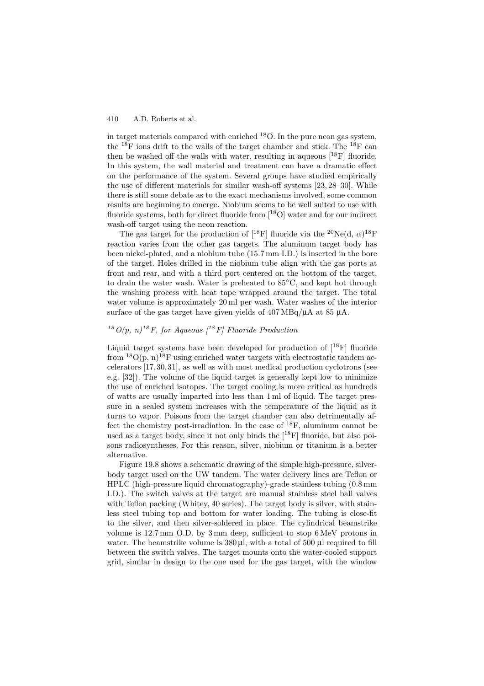#### 410 A.D. Roberts et al.

in target materials compared with enriched  $^{18}$ O. In the pure neon gas system, the  $^{18}$ F ions drift to the walls of the target chamber and stick. The  $^{18}$ F can then be washed off the walls with water, resulting in aqueous  $[18F]$  fluoride. In this system, the wall material and treatment can have a dramatic effect on the performance of the system. Several groups have studied empirically the use of different materials for similar wash-off systems [23, 28–30]. While there is still some debate as to the exact mechanisms involved, some common results are beginning to emerge. Niobium seems to be well suited to use with fluoride systems, both for direct fluoride from  $[18O]$  water and for our indirect wash-off target using the neon reaction.

The gas target for the production of [<sup>18</sup>F] fluoride via the <sup>20</sup>Ne(d,  $\alpha$ )<sup>18</sup>F reaction varies from the other gas targets. The aluminum target body has been nickel-plated, and a niobium tube (15.7 mm I.D.) is inserted in the bore of the target. Holes drilled in the niobium tube align with the gas ports at front and rear, and with a third port centered on the bottom of the target, to drain the water wash. Water is preheated to 85◦C, and kept hot through the washing process with heat tape wrapped around the target. The total water volume is approximately 20 ml per wash. Water washes of the interior surface of the gas target have given yields of  $407 MBq/\mu A$  at  $85 \mu A$ .

## <sup>18</sup> O(p, n)<sup>18</sup> F, for Aqueous <sup>[18</sup> F] Fluoride Production

Liquid target systems have been developed for production of  $[18F]$  fluoride from  ${}^{18}O(p, n){}^{18}F$  using enriched water targets with electrostatic tandem accelerators [17,30,31], as well as with most medical production cyclotrons (see e.g. [32]). The volume of the liquid target is generally kept low to minimize the use of enriched isotopes. The target cooling is more critical as hundreds of watts are usually imparted into less than 1 ml of liquid. The target pressure in a sealed system increases with the temperature of the liquid as it turns to vapor. Poisons from the target chamber can also detrimentally affect the chemistry post-irradiation. In the case of  $^{18}$ F, aluminum cannot be used as a target body, since it not only binds the  $[^{18}F]$  fluoride, but also poisons radiosyntheses. For this reason, silver, niobium or titanium is a better alternative.

Figure 19.8 shows a schematic drawing of the simple high-pressure, silverbody target used on the UW tandem. The water delivery lines are Teflon or HPLC (high-pressure liquid chromatography)-grade stainless tubing (0.8 mm I.D.). The switch valves at the target are manual stainless steel ball valves with Teflon packing (Whitey, 40 series). The target body is silver, with stainless steel tubing top and bottom for water loading. The tubing is close-fit to the silver, and then silver-soldered in place. The cylindrical beamstrike volume is 12.7 mm O.D. by 3 mm deep, sufficient to stop 6 MeV protons in water. The beamstrike volume is  $380 \mu l$ , with a total of 500  $\mu l$  required to fill between the switch valves. The target mounts onto the water-cooled support grid, similar in design to the one used for the gas target, with the window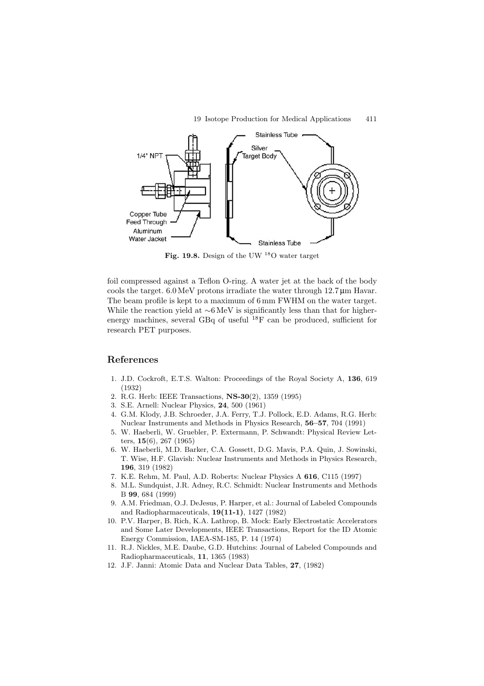

Fig. 19.8. Design of the UW <sup>18</sup>O water target

foil compressed against a Teflon O-ring. A water jet at the back of the body cools the target.  $6.0 \,\text{MeV}$  protons irradiate the water through 12.7  $\mu$ m Havar. The beam profile is kept to a maximum of 6 mm FWHM on the water target. While the reaction yield at ∼6 MeV is significantly less than that for higherenergy machines, several GBq of useful  $^{18}$ F can be produced, sufficient for research PET purposes.

## **References**

- 1. J.D. Cockroft, E.T.S. Walton: Proceedings of the Royal Society A, **136**, 619 (1932)
- 2. R.G. Herb: IEEE Transactions, **NS-30**(2), 1359 (1995)
- 3. S.E. Arnell: Nuclear Physics, **24**, 500 (1961)
- 4. G.M. Klody, J.B. Schroeder, J.A. Ferry, T.J. Pollock, E.D. Adams, R.G. Herb: Nuclear Instruments and Methods in Physics Research, **56–57**, 704 (1991)
- 5. W. Haeberli, W. Gruebler, P. Extermann, P. Schwandt: Physical Review Letters, **15**(6), 267 (1965)
- 6. W. Haeberli, M.D. Barker, C.A. Gossett, D.G. Mavis, P.A. Quin, J. Sowinski, T. Wise, H.F. Glavish: Nuclear Instruments and Methods in Physics Research, **196**, 319 (1982)
- 7. K.E. Rehm, M. Paul, A.D. Roberts: Nuclear Physics A **616**, C115 (1997)
- 8. M.L. Sundquist, J.R. Adney, R.C. Schmidt: Nuclear Instruments and Methods B **99**, 684 (1999)
- 9. A.M. Friedman, O.J. DeJesus, P. Harper, et al.: Journal of Labeled Compounds and Radiopharmaceuticals, **19(11-1)**, 1427 (1982)
- 10. P.V. Harper, B. Rich, K.A. Lathrop, B. Mock: Early Electrostatic Accelerators and Some Later Developments, IEEE Transactions, Report for the ID Atomic Energy Commission, IAEA-SM-185, P. 14 (1974)
- 11. R.J. Nickles, M.E. Daube, G.D. Hutchins: Journal of Labeled Compounds and Radiopharmaceuticals, **11**, 1365 (1983)
- 12. J.F. Janni: Atomic Data and Nuclear Data Tables, **27**, (1982)